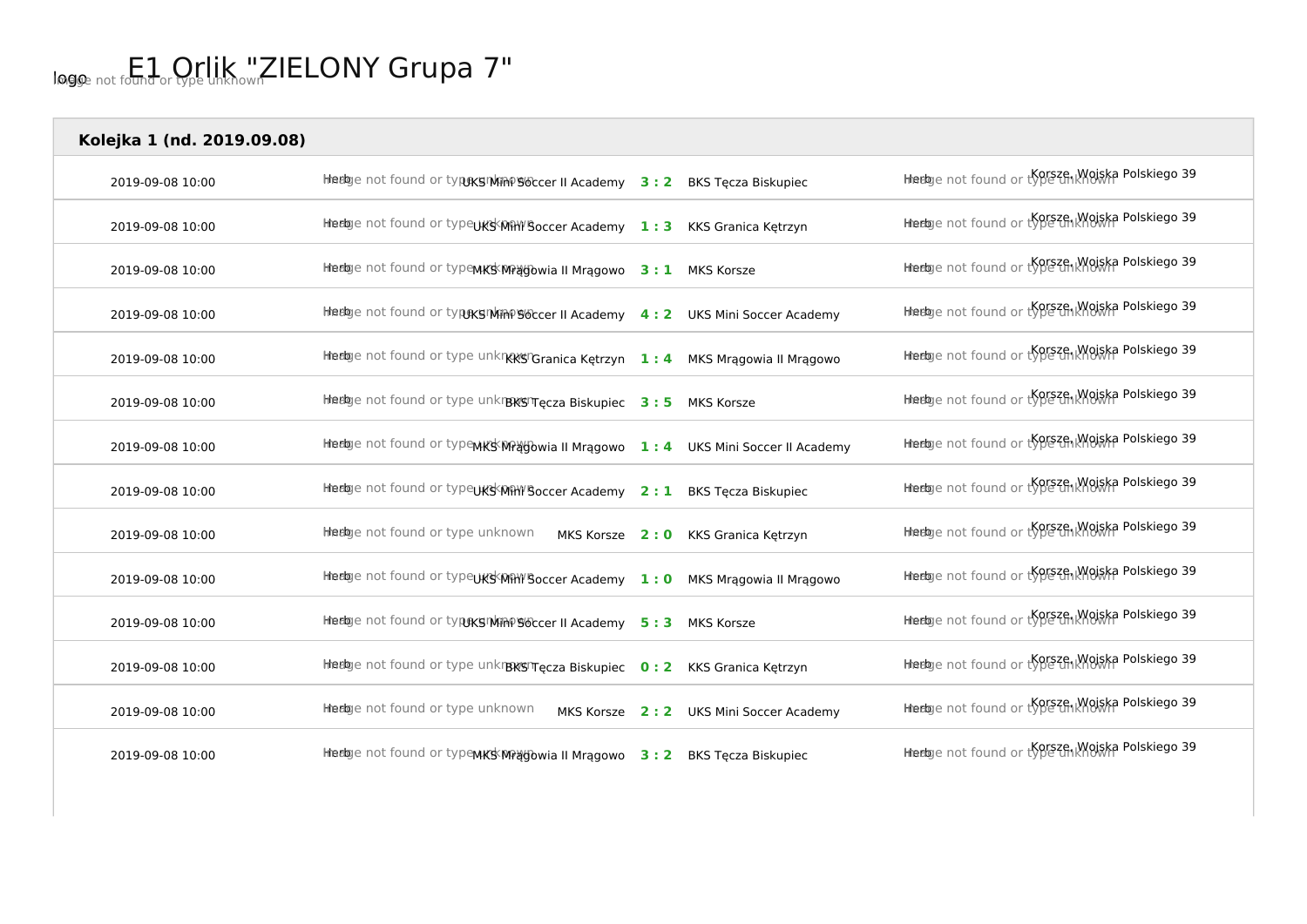| Kolejka 1 (nd. 2019.09.08) |                                                                                                                                                                                    |                                        |                                                     |
|----------------------------|------------------------------------------------------------------------------------------------------------------------------------------------------------------------------------|----------------------------------------|-----------------------------------------------------|
| 2019-09-08 10:00           | Hierlage not found or typeks I wine soccer II Academy 3: 2 BKS Tęcza Biskupiec                                                                                                     |                                        | Hierbye not found or type thich worska Polskiego 39 |
| 2019-09-08 10:00           | Hiedge not found or typeUKS <mihy'soccer 1:3="" academy="" granica="" kks="" kętrzyn<="" td=""><td></td><td>Hierbye not found or type thich worska Polskiego 39</td></mihy'soccer> |                                        | Hierbye not found or type thich worska Polskiego 39 |
| 2019-09-08 10:00           | Heelge not found or type MKS MPagowia II Mragowo 3: 1 MKS Korsze                                                                                                                   |                                        | Hiedage not found or type thi Moiska Polskiego 39   |
| 2019-09-08 10:00           | Heelge not found or typexs Min PS ocer II Academy 4: 2 UKS Mini Soccer Academy                                                                                                     |                                        | Hierbye not found or type unknown Polskiego 39      |
| 2019-09-08 10:00           | Hiedge not found or type unkn&&S"Granica Kętrzyn 1:4 MKS Mrągowia II Mrągowo                                                                                                       |                                        | Hierbye not found or type th Knowska Polskiego 39   |
| 2019-09-08 10:00           | Hierbye not found or type unkrBKSTecza Biskupiec 3:5 MKS Korsze                                                                                                                    |                                        | Hierløje not found or type thi Woiska Polskiego 39  |
| 2019-09-08 10:00           | Heelge not found or type MKS MPagowia II Mragowo 1: 4 UKS Mini Soccer II Academy                                                                                                   |                                        | Hierbye not found or type thi Wolska Polskiego 39   |
| 2019-09-08 10:00           | Hinedage not found or type UKS Min Y Soccer Academy 2:1                                                                                                                            | <b>BKS Tecza Biskupiec</b>             | Hierbye not found or type thich worska Polskiego 39 |
| 2019-09-08 10:00           | Heege not found or type unknown                                                                                                                                                    | MKS Korsze 2:0 KKS Granica Kętrzyn     | Hierbye not found or type unknown Polskiego 39      |
| 2019-09-08 10:00           | Heetoge not found or type UKSKMHY Soccer Academy 1: 0 MKS Mragowia II Mragowo                                                                                                      |                                        | Hierløje not found or type thi Wojska Polskiego 39  |
| 2019-09-08 10:00           | Heeloge not found or type sphin 96 ccer II Academy 5:3 MKS Korsze                                                                                                                  |                                        | Hierbye not found or type thichouse Polskiego 39    |
| 2019-09-08 10:00           | Hiedge not found or type unkrexsit ecza Biskupiec 0: 2 KKS Granica Kętrzyn                                                                                                         |                                        | Hierbye not found or type thi Moiska Polskiego 39   |
| 2019-09-08 10:00           | Heebye not found or type unknown                                                                                                                                                   | MKS Korsze 2:2 UKS Mini Soccer Academy | Heelaye not found or type thich worska Polskiego 39 |
| 2019-09-08 10:00           | Heelge not found or typewKSWPagowia II Mragowo 3: 2 BKS Tęcza Biskupiec                                                                                                            |                                        | Hiedaje not found or type thi Moiska Polskiego 39   |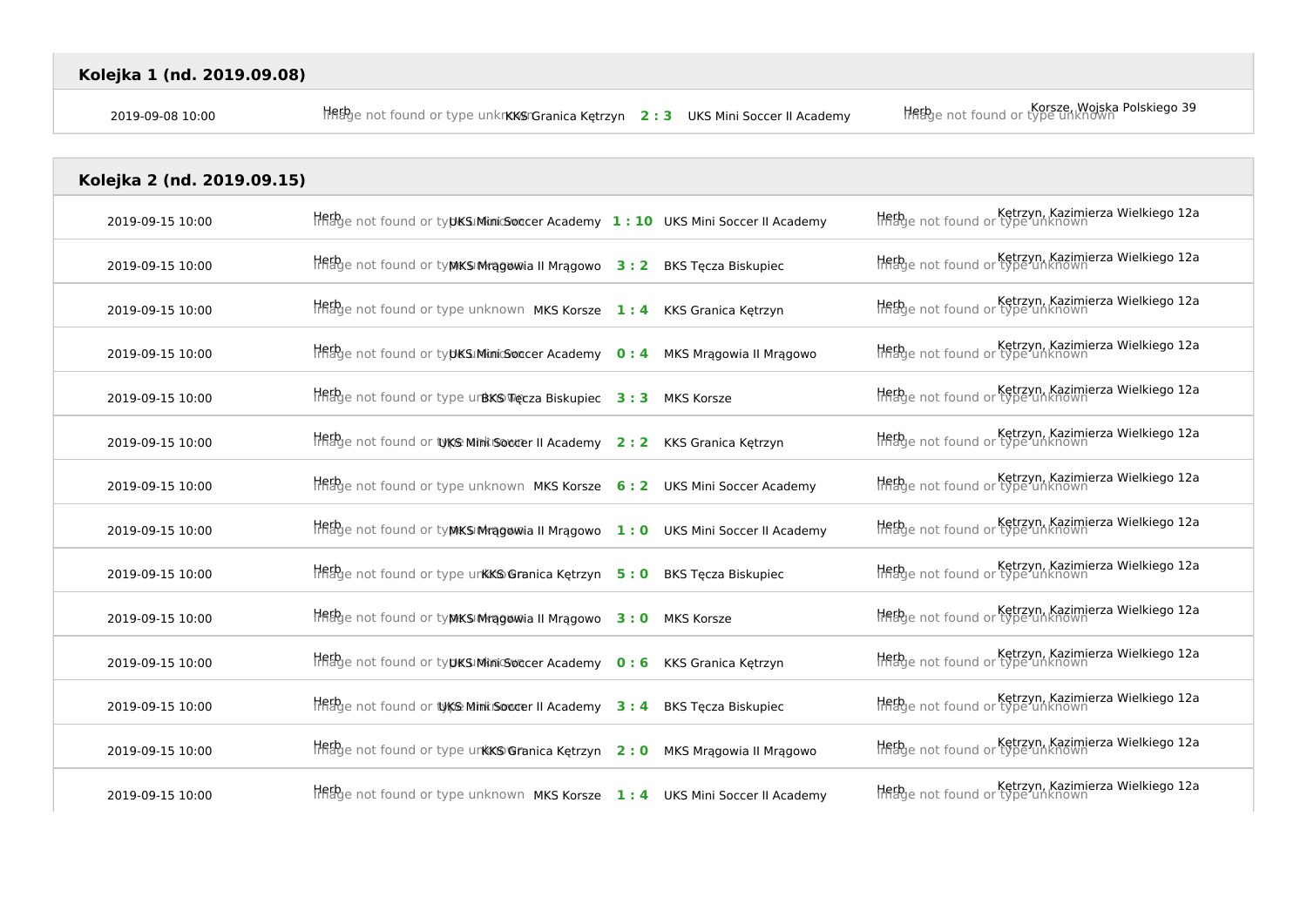| Kolejka 1 (nd. 2019.09.08) |                                                                                               |                                                                        |
|----------------------------|-----------------------------------------------------------------------------------------------|------------------------------------------------------------------------|
| 2019-09-08 10:00           | $\frac{1}{2}$ and found or type unkn KKS Granica Ketrzyn 2:3 UKS Mini Soccer II Academy       | Korsze, Wojska Polskiego 39<br>Helbye not found or type unknown        |
| Kolejka 2 (nd. 2019.09.15) |                                                                                               |                                                                        |
|                            |                                                                                               |                                                                        |
| 2019-09-15 10:00           | $\frac{1}{2}$ and found or typks Minic Solater Academy $1:10$ UKS Mini Soccer II Academy      | Ketrzyn, Kazimierza Wielkiego 12a<br>Helbye not found or type unknown  |
| 2019-09-15 10:00           | $Herb$ <sub>d</sub> not found or ty <b>MKSI Mragowia II Mragowo</b> 3 : 2 BKS Tęcza Biskupiec | Ketrzyn, Kazimierza Wielkiego 12a                                      |
| 2019-09-15 10:00           | $Herb$ enot found or type unknown MKS Korsze $1:4$ KKS Granica Kętrzyn                        | Ketrzyn, Kazimierza Wielkiego 12a<br>Histoge not found or type unknown |
| 2019-09-15 10:00           | $\frac{1}{2}$ and found or typics. Minic Soccer Academy 0:4 MKS Mragowia II Mragowo           | Ketrzyn, Kazimierza Wielkiego 12a                                      |
| 2019-09-15 10:00           | $Hf_{\text{B}}f_{\text{C}}$ not found or type urbKS Treeza Biskupiec $3:3$ MKS Korsze         | Ketrzyn, Kazimierza Wielkiego 12a                                      |
|                            |                                                                                               |                                                                        |

| 7019-09-19 TU:00 | $\frac{1}{111000}$ and $\frac{1}{100000}$ by the contribution of the summand of the summand of the summand of the summand of the summand of the summand of the summand of the summand of the summand of the summand of the summand of |                            | THRUC HULTUGHU UI LYDE UHNIUWII   |
|------------------|---------------------------------------------------------------------------------------------------------------------------------------------------------------------------------------------------------------------------------------|----------------------------|-----------------------------------|
| 2019-09-15 10:00 | HAB enot found or type urBKS Tecza Biskupiec 3:3 MKS Korsze                                                                                                                                                                           |                            | Ketrzyn, Kazimierza Wielkiego 12a |
| 2019-09-15 10:00 | THEFO e not found or tyke Mink Socre II Academy 2: 2 KKS Granica Ketrzyn                                                                                                                                                              |                            | Ketrzyn, Kazimierza Wielkiego 12a |
| 2019-09-15 10:00 | <b>Heig</b> e not found or type unknown <b>MKS Korsze</b> 6: 2 UKS Mini Soccer Academy                                                                                                                                                |                            | Ketrzyn, Kazimierza Wielkiego 12a |
| 2019-09-15 10:00 | $\frac{1}{2}$ and found or typiks Mragowia II Mragowo $1:0$ UKS Mini Soccer II Academy                                                                                                                                                |                            | Ketrzyn, Kazimierza Wielkiego 12a |
| 2019-09-15 10:00 | $Hf_{\text{H}}^{th}$ e not found or type unkk $\mathcal{L}$ Granica Kętrzyn 5:0                                                                                                                                                       | <b>BKS Tecza Biskupiec</b> | Ketrzyn, Kazimierza Wielkiego 12a |
| 2019-09-15 10:00 | $H$ REPge not found or typikSI Mragowia II Mragowo $3:0$ MKS Korsze                                                                                                                                                                   |                            | Ketrzyn, Kazimierza Wielkiego 12a |
| 2019-09-15 10:00 | $\frac{1}{2}$ and found or typks: Mimic Soccer Academy 0: 6 KKS Granica Kętrzyn                                                                                                                                                       |                            | Ketrzyn, Kazimierza Wielkiego 12a |
| 2019-09-15 10:00 | The b enot found or type Mink Soccer II Academy 3: 4                                                                                                                                                                                  | <b>BKS Tecza Biskupiec</b> | Ketrzyn, Kazimierza Wielkiego 12a |
| 2019-09-15 10:00 | $\frac{1}{2}$ and found or type unkks Granica Kętrzyn 2:0 MKS Mrągowia II Mrągowo                                                                                                                                                     |                            | Ketrzyn, Kazimierza Wielkiego 12a |
| 2019-09-15 10:00 | $\frac{1}{2}$ and found or type unknown MKS Korsze 1:4 UKS Mini Soccer II Academy                                                                                                                                                     |                            | Ketrzyn, Kazimierza Wielkiego 12a |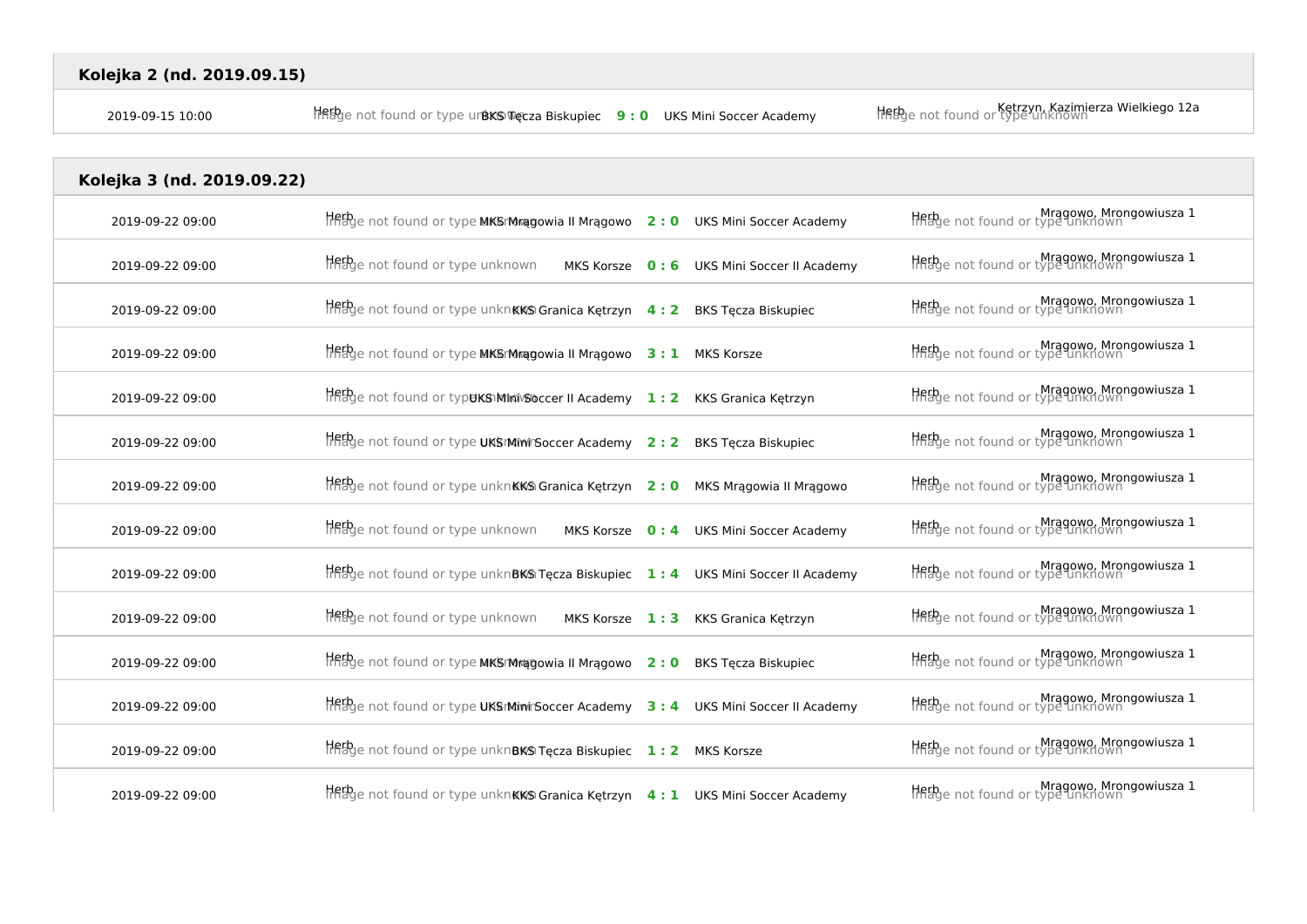| Kolejka 3 (nd. 2019.09.22) |                                                                                              |  |                                           |                                                              |  |
|----------------------------|----------------------------------------------------------------------------------------------|--|-------------------------------------------|--------------------------------------------------------------|--|
| 2019-09-22 09:00           | $\frac{1}{2}$ and found or type MKSM ragowia II Mragowo 2:0 UKS Mini Soccer Academy          |  |                                           | Mragowo, Mrongowiusza 1                                      |  |
| 2019-09-22 09:00           | <b>Heth</b> e not found or type unknown                                                      |  | MKS Korsze 0:6 UKS Mini Soccer II Academy | Mragowo, Mrongowiusza 1                                      |  |
| 2019-09-22 09:00           | $H$ flegbe not found or type unkn <b>KKS Granica Kętrzyn</b> 4: 2 BKS Tęcza Biskupiec        |  |                                           | Mragowo, Mrongowiusza 1<br>History not found or type unknown |  |
| 2019-09-22 09:00           | $Herb$ <sub>ge</sub> not found or type MKSrMragowia II Mragowo $3:1$ MKS Korsze              |  |                                           | Mragowo, Mrongowiusza 1<br>History not found or type unknown |  |
| 2019-09-22 09:00           | HREPge not found or typuKS Miniv Soccer II Academy 1: 2 KKS Granica Kętrzyn                  |  |                                           | Mragowo, Mrongowiusza 1                                      |  |
| 2019-09-22 09:00           | Hetbye not found or type UKSIMinirSoccer Academy 2:2                                         |  | <b>BKS Tęcza Biskupiec</b>                | Mragowo, Mrongowiusza 1                                      |  |
| 2019-09-22 09:00           | $\frac{1}{2}$ and found or type unkn <b>KKS Granica Kętrzyn</b> 2:0 MKS Mrągowia II Mrągowo  |  |                                           | Mragowo, Mrongowiusza 1                                      |  |
| 2019-09-22 09:00           | Hetbye not found or type unknown                                                             |  | MKS Korsze 0:4 UKS Mini Soccer Academy    | Mragowo, Mrongowiusza 1                                      |  |
| 2019-09-22 09:00           | $\frac{1}{2}$ and found or type unknBKS Tęcza Biskupiec 1:4 UKS Mini Soccer II Academy       |  |                                           | Mragowo, Mrongowiusza 1<br>Hirage not found or type unknown  |  |
| 2019-09-22 09:00           | <b>Het</b> be not found or type unknown<br>MKS Korsze 1:3                                    |  | KKS Granica Ketrzyn                       | Mragowo, Mrongowiusza 1                                      |  |
| 2019-09-22 09:00           | $Hf_{\text{eff}}$ e not found or type MKSMragowia II Mrągowo 2:0                             |  | <b>BKS Tecza Biskupiec</b>                | Mragowo, Mrongowiusza 1<br>Helbe not found or type unknown   |  |
| 2019-09-22 09:00           | $\frac{1}{2}$ and found or type UKSIMini Soccer Academy 3 : 4 UKS Mini Soccer II Academy     |  |                                           | Mragowo, Mrongowiusza 1                                      |  |
| 2019-09-22 09:00           | Hether not found or type unknBKS Tecza Biskupiec 1: 2 MKS Korsze                             |  |                                           | Mragowo, Mrongowiusza 1                                      |  |
| 2019-09-22 09:00           | $\frac{1}{2}$ and found or type unkn <b>KKS Granica Kętrzyn</b> 4: 1 UKS Mini Soccer Academy |  |                                           | Mragowo, Mrongowiusza 1<br>Helbye not found or type unknown  |  |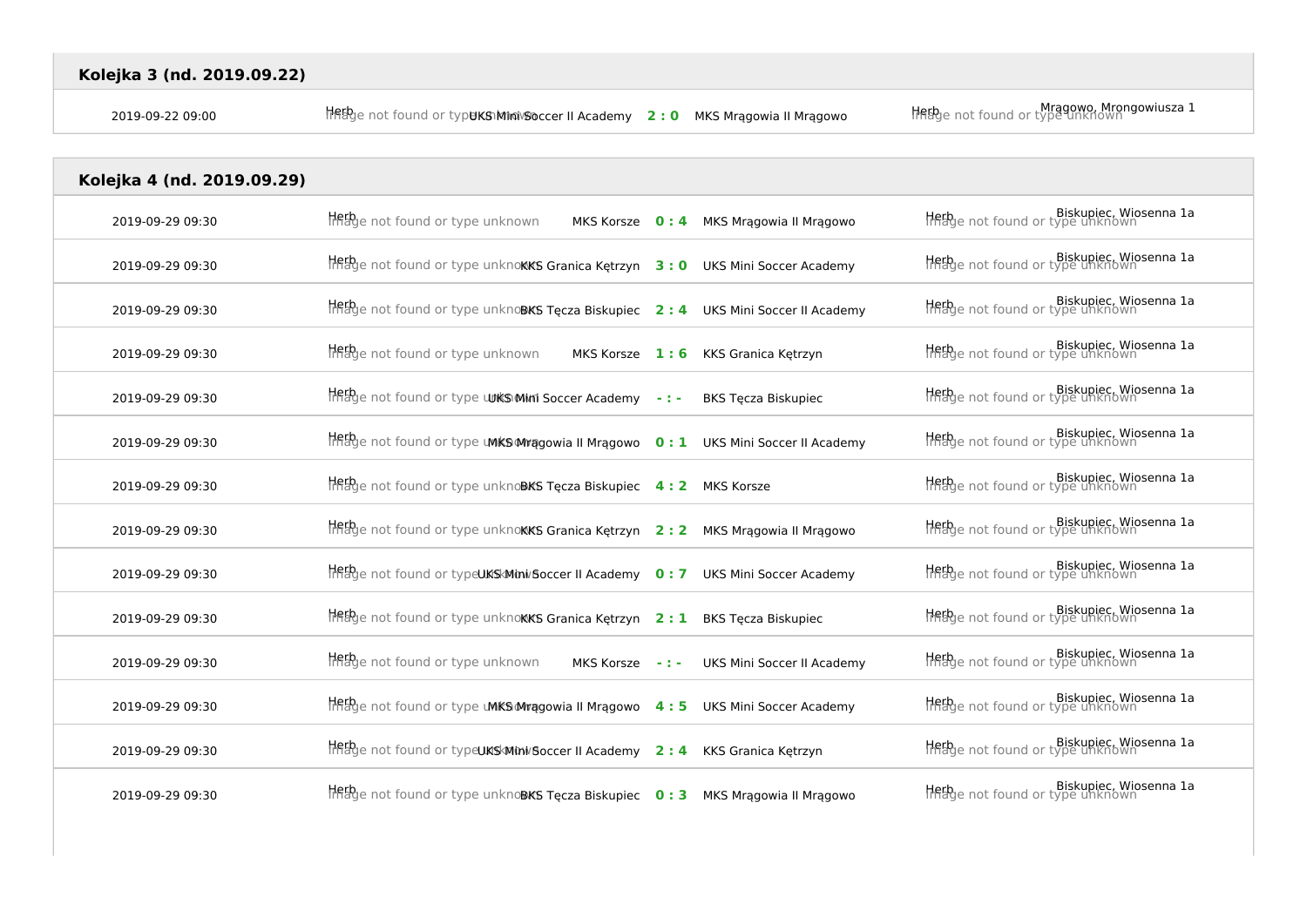| Kolejka 4 (nd. 2019.09.29) |                                                                                                 |                                            |                                                            |
|----------------------------|-------------------------------------------------------------------------------------------------|--------------------------------------------|------------------------------------------------------------|
| 2019-09-29 09:30           | <b>Heth</b> e not found or type unknown                                                         | MKS Korsze 0:4 MKS Mrągowia II Mrągowo     | Hebge not found or type unknown                            |
| 2019-09-29 09:30           | $H$ figge not found or type unknokks Granica Kętrzyn $3:0$ UKS Mini Soccer Academy              |                                            | Biskupiec, Wiosenna 1a<br>Hildye not found or type unknown |
| 2019-09-29 09:30           | $H$ ff $g$ e not found or type unknoBKS Tęcza Biskupiec 2: 4 UKS Mini Soccer II Academy         |                                            | Biskupiec, Wiosenna 1a<br>Hifage not found or type unknown |
| 2019-09-29 09:30           | <b>Heth</b> e not found or type unknown                                                         | MKS Korsze 1: 6 KKS Granica Kętrzyn        | Biskupiec, Wiosenna 1a<br>Hirage not found or type unknown |
| 2019-09-29 09:30           | HABge not found or type <b>UJKSMINI Soccer Academy</b> -:-                                      | <b>BKS Tecza Biskupiec</b>                 | Biskupiec, Wiosenna 1a<br>History of type unknown          |
| 2019-09-29 09:30           | $\frac{1}{2}$ and found or type <b>UMKS Mragowia II Mragowo</b> 0: 1 UKS Mini Soccer II Academy |                                            | Biskupiec, Wiosenna 1a<br>HABge not found or type unknown  |
| 2019-09-29 09:30           | $H_{\text{H}_2}^{\text{Fp}}$ not found or type unknoBKS Tęcza Biskupiec 4: 2 MKS Korsze         |                                            | Hebge not found or type unknown                            |
| 2019-09-29 09:30           | $\frac{1}{2}$ and found or type unknokks Granica Kętrzyn 2:2 MKS Mrągowia II Mrągowo            |                                            | Biskupiec, Wiosenna 1a<br>Hilage not found or type unknown |
| 2019-09-29 09:30           | $\frac{1}{2}$ and found or type UKS Mini/Soccer II Academy 0: 7 UKS Mini Soccer Academy         |                                            | Biskupiec, Wiosenna 1a<br>Hilage not found or type unknown |
| 2019-09-29 09:30           | $\frac{1}{2}$ and found or type unknokks Granica Kętrzyn 2: 1 BKS Tęcza Biskupiec               |                                            | Hebge not found or type unknown                            |
| 2019-09-29 09:30           | Hebge not found or type unknown                                                                 | MKS Korsze -: - UKS Mini Soccer II Academy | Biskupiec, Wiosenna 1a<br>HABge not found or type unknown  |
| 2019-09-29 09:30           | $H$ Rage not found or type <b>UMKS Mragowia II Mragowo</b> 4: 5 UKS Mini Soccer Academy         |                                            | Hebge not found or type unknown                            |
| 2019-09-29 09:30           | <b>THEP</b> e not found or typeUKSMini/Soccer II Academy 2: 4 KKS Granica Kętrzyn               |                                            | Biskupiec, Wiosenna 1a<br>Hilage not found or type unknown |
| 2019-09-29 09:30           | $\frac{1}{2}$ and found or type unknoBKS Tęcza Biskupiec 0:3 MKS Mragowia II Mragowo            |                                            | Biskupiec, Wiosenna 1a<br>Hilage not found or type unknown |